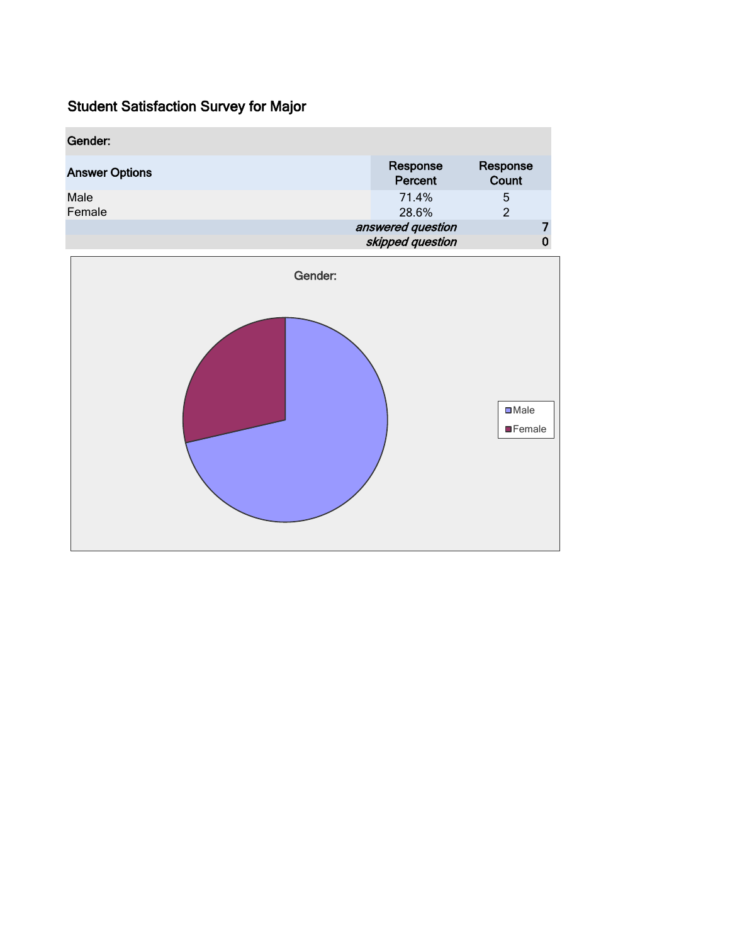| Gender:               |                                       |                     |
|-----------------------|---------------------------------------|---------------------|
| <b>Answer Options</b> | Response<br>Percent                   | Response<br>Count   |
| Male<br>Female        | 71.4%<br>28.6%                        | 5<br>$\mathfrak{p}$ |
|                       | answered question<br>skipped question | 0                   |

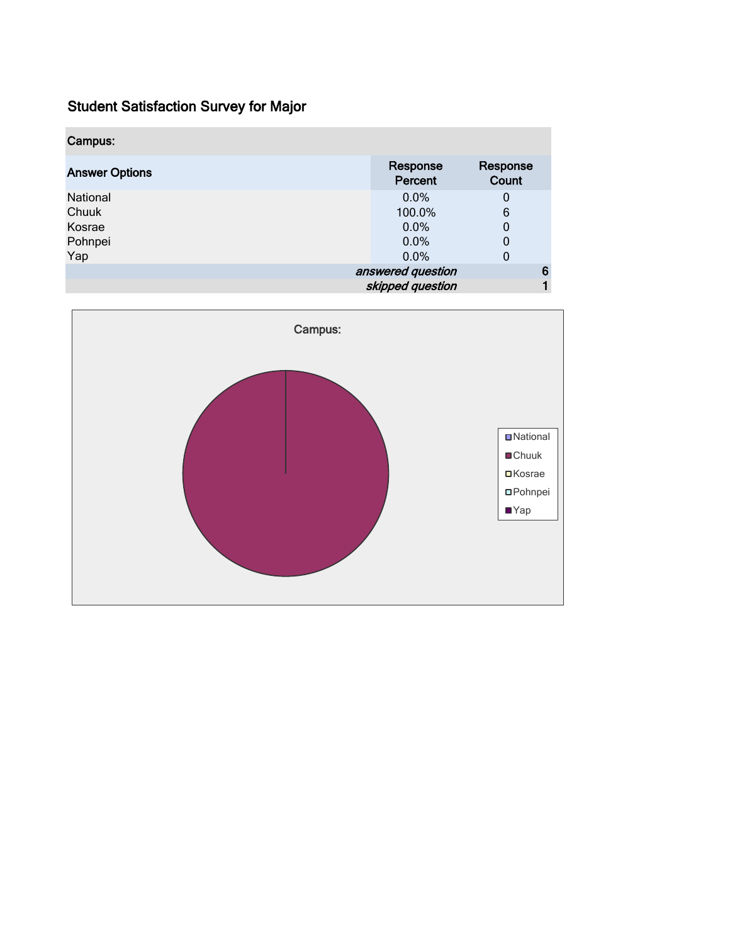| Campus:               |                     |                   |
|-----------------------|---------------------|-------------------|
| <b>Answer Options</b> | Response<br>Percent | Response<br>Count |
| National              | 0.0%                | 0                 |
| Chuuk                 | 100.0%              | 6                 |
| Kosrae                | 0.0%                | 0                 |
| Pohnpei               | 0.0%                | 0                 |
| Yap                   | 0.0%                | 0                 |
|                       | answered question   | 6                 |
|                       | skipped question    |                   |

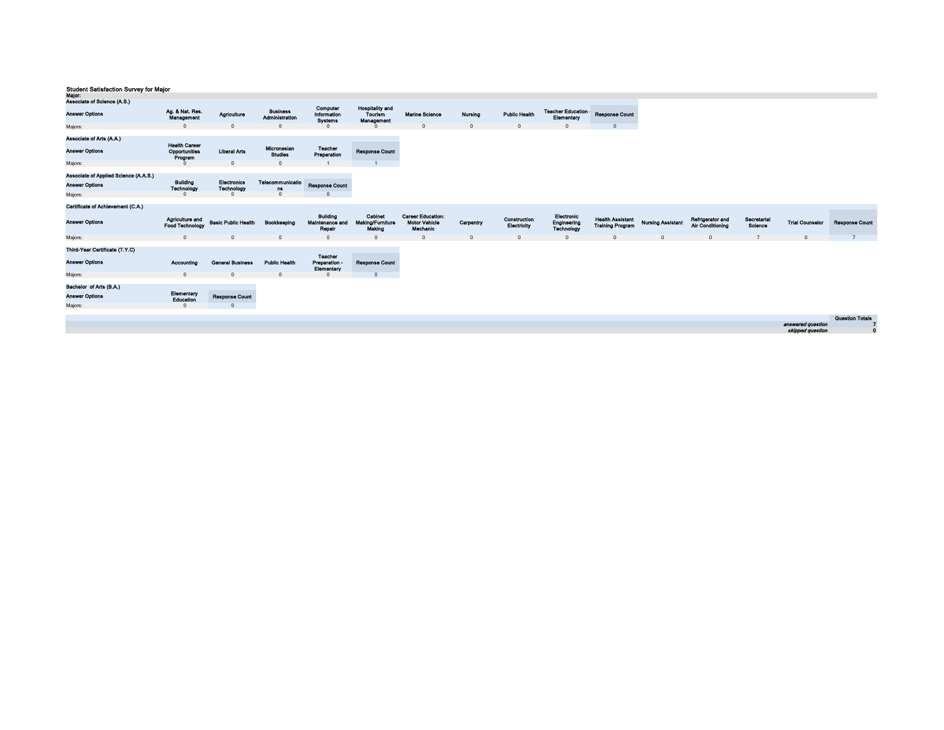| wajor.<br>Associate of Science (A.S.) |                                                  |                                         |                                   |                                                     |                                                        |                                                              |                |                             |                                         |                                                    |                          |                                                    |                        |                        |                        |
|---------------------------------------|--------------------------------------------------|-----------------------------------------|-----------------------------------|-----------------------------------------------------|--------------------------------------------------------|--------------------------------------------------------------|----------------|-----------------------------|-----------------------------------------|----------------------------------------------------|--------------------------|----------------------------------------------------|------------------------|------------------------|------------------------|
| <b>Answer Options</b>                 | Ag. & Nat. Res.<br>Management                    | Agriculture                             | <b>Business</b><br>Administration | Computer<br>Information<br><b>Systems</b>           | <b>Hospitality and</b><br>Tourism<br><b>Management</b> | <b>Marine Science</b>                                        | <b>Nursing</b> | <b>Public Health</b>        | <b>Teacher Education</b><br>Elementary  | <b>Response Count</b>                              |                          |                                                    |                        |                        |                        |
| Majors:                               | $\mathbf{0}$                                     | $\Omega$                                | $\Omega$                          | $\Omega$                                            |                                                        | $\Omega$                                                     | $\mathbf 0$    |                             | $\overline{0}$                          | $\Omega$                                           |                          |                                                    |                        |                        |                        |
| Associate of Arts (A.A.)              | <b>Health Career</b>                             |                                         |                                   |                                                     |                                                        |                                                              |                |                             |                                         |                                                    |                          |                                                    |                        |                        |                        |
| <b>Answer Options</b>                 | Opportunities<br>Program                         | <b>Liberal Arts</b>                     | Micronesian<br><b>Studies</b>     | <b>Teacher</b><br>Preparation                       | <b>Response Count</b>                                  |                                                              |                |                             |                                         |                                                    |                          |                                                    |                        |                        |                        |
| Majors:                               | $\Omega$                                         | $\mathbf{0}$                            | $\Omega$                          |                                                     |                                                        |                                                              |                |                             |                                         |                                                    |                          |                                                    |                        |                        |                        |
| Associate of Applied Science (A.A.S.) |                                                  |                                         |                                   |                                                     |                                                        |                                                              |                |                             |                                         |                                                    |                          |                                                    |                        |                        |                        |
| <b>Answer Options</b>                 | <b>Building</b><br><b>Technology</b>             | <b>Electronics</b><br><b>Technology</b> | Telecommunicatio<br>ns            | <b>Response Count</b>                               |                                                        |                                                              |                |                             |                                         |                                                    |                          |                                                    |                        |                        |                        |
| Majors:                               | $\Omega$                                         | $\Omega$                                | $\Omega$                          | $\Omega$                                            |                                                        |                                                              |                |                             |                                         |                                                    |                          |                                                    |                        |                        |                        |
| Certificate of Achievement (C.A.)     |                                                  |                                         |                                   |                                                     |                                                        |                                                              |                |                             |                                         |                                                    |                          |                                                    |                        |                        |                        |
| <b>Answer Options</b>                 | <b>Agriculture and</b><br><b>Food Technology</b> | <b>Basic Public Health</b>              | Bookkeeping                       | <b>Building</b><br><b>Maintenance and</b><br>Repair | Cabinot<br>Making/Furniture<br>Making                  | <b>Career Education:</b><br><b>Motor Vehicle</b><br>Mechanic | Carpentry      | Construction<br>Electricity | Electronic<br>Engineering<br>Technology | <b>Health Assistant</b><br><b>Training Program</b> | <b>Nursing Assistant</b> | <b>Refrigerator and</b><br><b>Air Conditioning</b> | Secretarial<br>Science | <b>Trial Counselor</b> | <b>Response Count</b>  |
| Majors:                               | $\mathbf{0}$                                     | $\Omega$                                | $\Omega$                          | $\overline{0}$                                      | $\Omega$                                               | $\Omega$                                                     | $\Omega$       | $\Omega$                    | $\overline{0}$                          | $\sqrt{2}$                                         |                          | $\Omega$                                           | $\overline{ }$         | $\mathbf{0}$           | $\overline{7}$         |
| Third-Year Certificate (T.Y.C)        |                                                  |                                         |                                   | <b>Teacher</b>                                      |                                                        |                                                              |                |                             |                                         |                                                    |                          |                                                    |                        |                        |                        |
| <b>Answer Options</b>                 | Accounting                                       | <b>General Business</b>                 | <b>Public Health</b>              | Preparation -<br>Elementary                         | <b>Response Count</b>                                  |                                                              |                |                             |                                         |                                                    |                          |                                                    |                        |                        |                        |
| Majors:                               | $\mathbf{0}$                                     | $\Omega$                                | $\Omega$                          | $\Omega$                                            | $\Omega$                                               |                                                              |                |                             |                                         |                                                    |                          |                                                    |                        |                        |                        |
| Bachelor of Arts (B.A.)               |                                                  |                                         |                                   |                                                     |                                                        |                                                              |                |                             |                                         |                                                    |                          |                                                    |                        |                        |                        |
| <b>Answer Options</b>                 | Elementary<br>Education                          | <b>Response Count</b>                   |                                   |                                                     |                                                        |                                                              |                |                             |                                         |                                                    |                          |                                                    |                        |                        |                        |
| Majors:                               | $\Omega$                                         | $\Omega$                                |                                   |                                                     |                                                        |                                                              |                |                             |                                         |                                                    |                          |                                                    |                        |                        |                        |
|                                       |                                                  |                                         |                                   |                                                     |                                                        |                                                              |                |                             |                                         |                                                    |                          |                                                    |                        |                        | <b>Question Totals</b> |
|                                       |                                                  |                                         |                                   |                                                     |                                                        |                                                              |                |                             |                                         |                                                    |                          |                                                    |                        | answered question      |                        |
|                                       |                                                  |                                         |                                   |                                                     |                                                        |                                                              |                |                             |                                         |                                                    |                          |                                                    |                        | skipped question       |                        |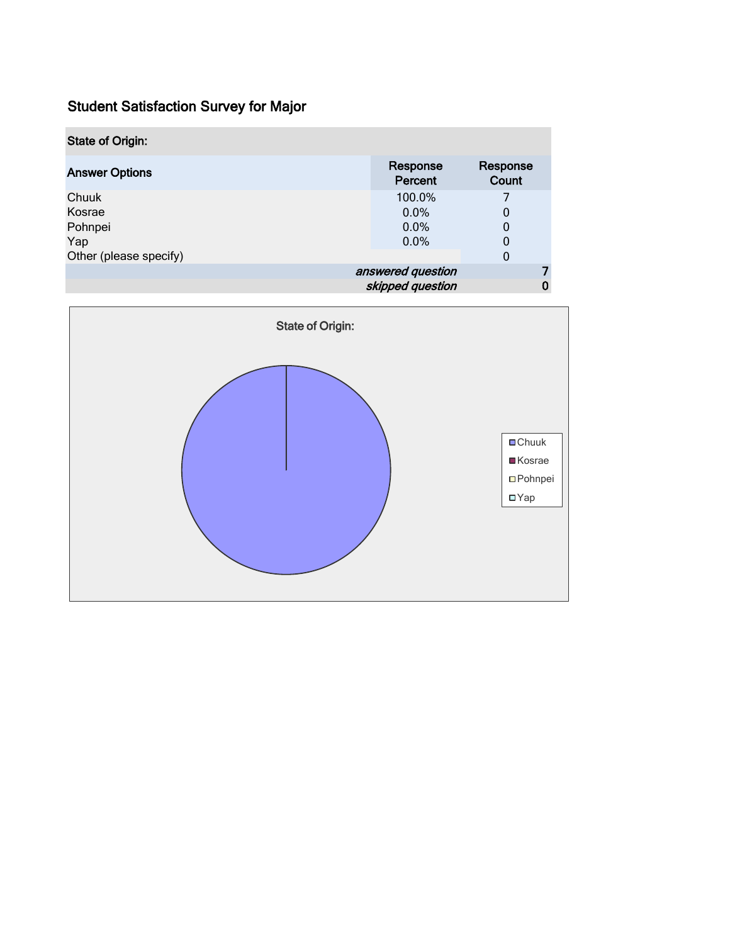| <b>State of Origin:</b> |                     |                   |  |  |  |
|-------------------------|---------------------|-------------------|--|--|--|
| <b>Answer Options</b>   | Response<br>Percent | Response<br>Count |  |  |  |
| Chuuk                   | 100.0%              |                   |  |  |  |
| Kosrae                  | 0.0%                | 0                 |  |  |  |
| Pohnpei                 | 0.0%                | 0                 |  |  |  |
| Yap                     | $0.0\%$             | 0                 |  |  |  |
| Other (please specify)  |                     | 0                 |  |  |  |
|                         | answered question   |                   |  |  |  |
|                         | skipped question    |                   |  |  |  |